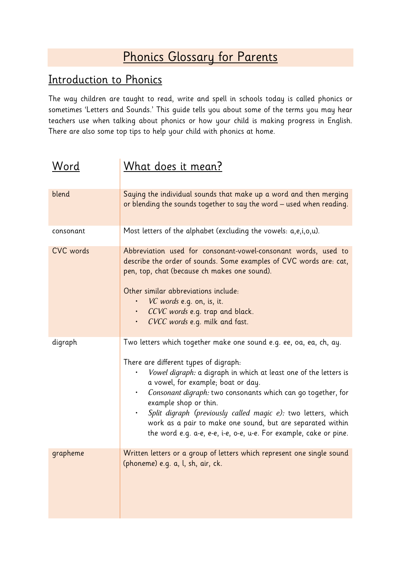## Phonics Glossary for Parents

## Introduction to Phonics

The way children are taught to read, write and spell in schools today is called phonics or sometimes 'Letters and Sounds.' This guide tells you about some of the terms you may hear teachers use when talking about phonics or how your child is making progress in English. There are also some top tips to help your child with phonics at home.

| <u>Word</u>      | <u>What does it mean?</u>                                                                                                                                                                                                                                                                                                                                                                                                                                                                                               |
|------------------|-------------------------------------------------------------------------------------------------------------------------------------------------------------------------------------------------------------------------------------------------------------------------------------------------------------------------------------------------------------------------------------------------------------------------------------------------------------------------------------------------------------------------|
| blend            | Saying the individual sounds that make up a word and then merging<br>or blending the sounds together to say the word – used when reading.                                                                                                                                                                                                                                                                                                                                                                               |
| consonant        | Most letters of the alphabet (excluding the vowels: a,e,i,o,u).                                                                                                                                                                                                                                                                                                                                                                                                                                                         |
| <b>CVC</b> words | Abbreviation used for consonant-vowel-consonant words, used to<br>describe the order of sounds. Some examples of CVC words are: cat,<br>pen, top, chat (because ch makes one sound).<br>Other similar abbreviations include:<br><i>VC words</i> e.g. on, is, it.<br>· CCVC words e.g. trap and black.<br>CVCC words e.g. milk and fast.<br>$\bullet$                                                                                                                                                                    |
| digraph          | Two letters which together make one sound e.g. ee, oa, ea, ch, ay.<br>There are different types of digraph:<br>Vowel digraph: a digraph in which at least one of the letters is<br>a vowel, for example; boat or day.<br>Consonant digraph: two consonants which can go together, for<br>٠<br>example shop or thin.<br>Split digraph (previously called magic e): two letters, which<br>work as a pair to make one sound, but are separated within<br>the word e.g. a-e, e-e, i-e, o-e, u-e. For example, cake or pine. |
| grapheme         | Written letters or a group of letters which represent one single sound<br>(phoneme) e.g. a, l, sh, air, ck.                                                                                                                                                                                                                                                                                                                                                                                                             |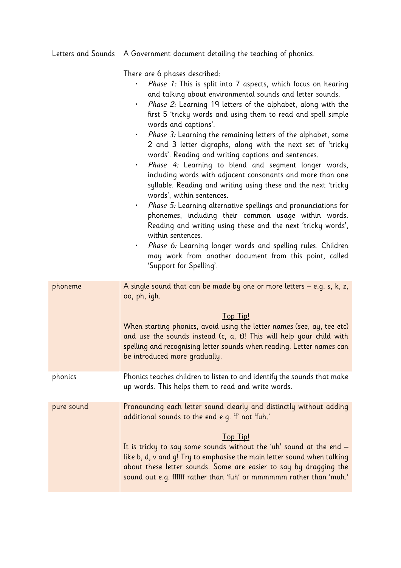| Letters and Sounds | A Government document detailing the teaching of phonics.                                                                                                                                                                                                                                                                                                                                                                                                                                                                                                                                                                                                                                                                                                                                                                                                                                                                                                                                                                                                                                                                                |
|--------------------|-----------------------------------------------------------------------------------------------------------------------------------------------------------------------------------------------------------------------------------------------------------------------------------------------------------------------------------------------------------------------------------------------------------------------------------------------------------------------------------------------------------------------------------------------------------------------------------------------------------------------------------------------------------------------------------------------------------------------------------------------------------------------------------------------------------------------------------------------------------------------------------------------------------------------------------------------------------------------------------------------------------------------------------------------------------------------------------------------------------------------------------------|
|                    | There are 6 phases described:<br>Phase 1: This is split into 7 aspects, which focus on hearing<br>and talking about environmental sounds and letter sounds.<br>Phase 2: Learning 19 letters of the alphabet, along with the<br>$\bullet$ .<br>first 5 'tricky words and using them to read and spell simple<br>words and captions'.<br>• Phase 3: Learning the remaining letters of the alphabet, some<br>2 and 3 letter digraphs, along with the next set of 'tricky<br>words'. Reading and writing captions and sentences.<br>Phase 4: Learning to blend and segment longer words,<br>$\bullet$ .<br>including words with adjacent consonants and more than one<br>syllable. Reading and writing using these and the next 'tricky<br>words', within sentences.<br>· Phase 5: Learning alternative spellings and pronunciations for<br>phonemes, including their common usage within words.<br>Reading and writing using these and the next 'tricky words',<br>within sentences.<br>· Phase 6: Learning longer words and spelling rules. Children<br>may work from another document from this point, called<br>'Support for Spelling'. |
| phoneme            | A single sound that can be made by one or more letters $-$ e.g. s, k, z,<br>oo, ph, igh.<br><b>Top Tip!</b><br>When starting phonics, avoid using the letter names (see, ay, tee etc)<br>and use the sounds instead (c, a, t)! This will help your child with<br>spelling and recognising letter sounds when reading. Letter names can<br>be introduced more gradually.                                                                                                                                                                                                                                                                                                                                                                                                                                                                                                                                                                                                                                                                                                                                                                 |
| phonics            | Phonics teaches children to listen to and identify the sounds that make<br>up words. This helps them to read and write words.                                                                                                                                                                                                                                                                                                                                                                                                                                                                                                                                                                                                                                                                                                                                                                                                                                                                                                                                                                                                           |
| pure sound         | Pronouncing each letter sound clearly and distinctly without adding<br>additional sounds to the end e.g. 'f' not 'fuh.'<br>Top Tip!<br>It is tricky to say some sounds without the 'uh' sound at the end $-$<br>like b, d, v and g! Try to emphasise the main letter sound when talking<br>about these letter sounds. Some are easier to say by dragging the<br>sound out e.g. ffffff rather than 'fuh' or mmmmmm rather than 'muh.'                                                                                                                                                                                                                                                                                                                                                                                                                                                                                                                                                                                                                                                                                                    |
|                    |                                                                                                                                                                                                                                                                                                                                                                                                                                                                                                                                                                                                                                                                                                                                                                                                                                                                                                                                                                                                                                                                                                                                         |